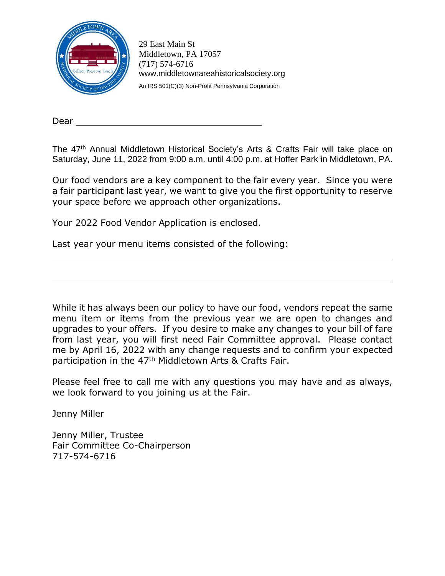

29 East Main St Middletown, PA 17057 [\(717\) 574-6716](tel:7175746716) [www.middletownareahistoricalsociety.org](http://www.middletownareahistoricalsociety.org/) An IRS 501(C)(3) Non-Profit Pennsylvania Corporation

Dear \_

The 47<sup>th</sup> Annual Middletown Historical Society's Arts & Crafts Fair will take place on Saturday, June 11, 2022 from 9:00 a.m. until 4:00 p.m. at Hoffer Park in Middletown, PA.

Our food vendors are a key component to the fair every year. Since you were a fair participant last year, we want to give you the first opportunity to reserve your space before we approach other organizations.

Your 2022 Food Vendor Application is enclosed.

Last year your menu items consisted of the following:

While it has always been our policy to have our food, vendors repeat the same menu item or items from the previous year we are open to changes and upgrades to your offers. If you desire to make any changes to your bill of fare from last year, you will first need Fair Committee approval. Please contact me by April 16, 2022 with any change requests and to confirm your expected participation in the 47<sup>th</sup> Middletown Arts & Crafts Fair.

Please feel free to call me with any questions you may have and as always, we look forward to you joining us at the Fair.

Jenny Miller

Jenny Miller, Trustee Fair Committee Co-Chairperson 717-574-6716